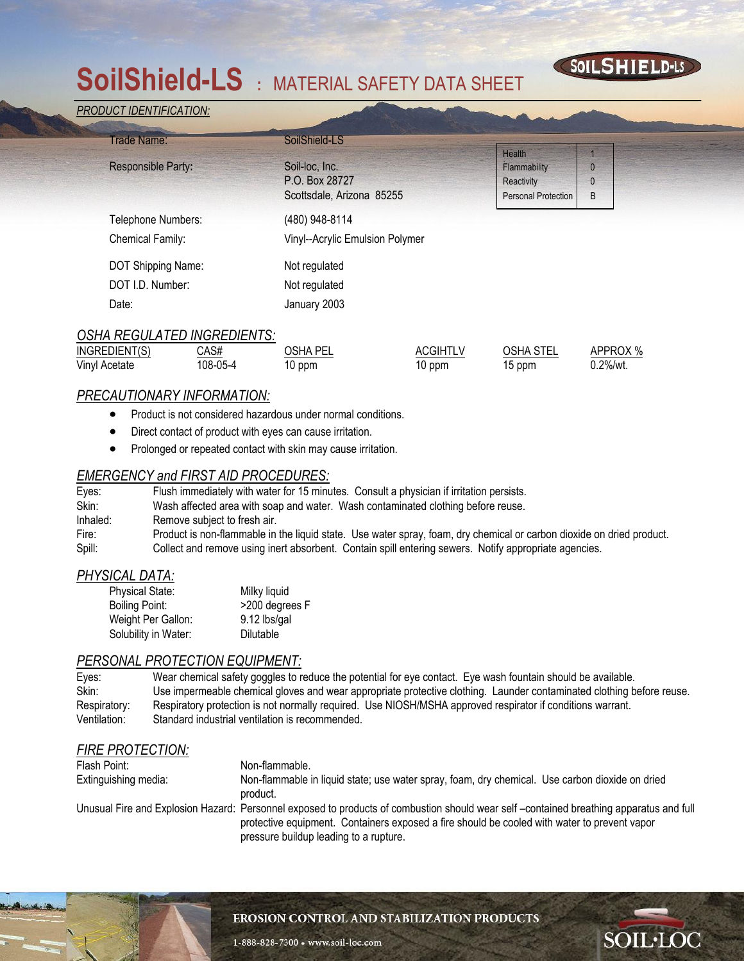# **SoilShield-LS :** MATERIAL SAFETY DATA SHEET

#### *PRODUCT IDENTIFICATION:*

| Trade Name:               | SoilShield-LS                   |                            |   |
|---------------------------|---------------------------------|----------------------------|---|
|                           |                                 | Health                     |   |
| <b>Responsible Party:</b> | Soil-loc, Inc.                  | Flammability               |   |
|                           | P.O. Box 28727                  | Reactivity                 |   |
|                           | Scottsdale, Arizona 85255       | <b>Personal Protection</b> | B |
| Telephone Numbers:        | (480) 948-8114                  |                            |   |
| Chemical Family:          | Vinyl--Acrylic Emulsion Polymer |                            |   |
| DOT Shipping Name:        | Not regulated                   |                            |   |
| DOT I.D. Number:          | Not regulated                   |                            |   |
| Date:                     | January 2003                    |                            |   |

SOILSHIELD-LS

**SOIL·LOC** 

| <b>OSHA REGULATED INGREDIENTS:</b> |          |          |                 |                  |          |  |
|------------------------------------|----------|----------|-----------------|------------------|----------|--|
| INGREDIENT(S)                      | CAS#     | OSHA PEL | <b>ACGIHTLV</b> | <b>OSHA STEL</b> | APPROX % |  |
| Vinyl Acetate                      | 108-05-4 | 10 ppm   | 10 ppm          | 15 ppm           | 0.2%/wt. |  |

### *PRECAUTIONARY INFORMATION:*

- Product is not considered hazardous under normal conditions.
- Direct contact of product with eyes can cause irritation.
- Prolonged or repeated contact with skin may cause irritation.

## *EMERGENCY and FIRST AID PROCEDURES:*

| Eyes:    | Flush immediately with water for 15 minutes. Consult a physician if irritation persists.                              |
|----------|-----------------------------------------------------------------------------------------------------------------------|
| Skin:    | Wash affected area with soap and water. Wash contaminated clothing before reuse.                                      |
| Inhaled: | Remove subject to fresh air.                                                                                          |
| Fire:    | Product is non-flammable in the liquid state. Use water spray, foam, dry chemical or carbon dioxide on dried product. |
| Spill:   | Collect and remove using inert absorbent. Contain spill entering sewers. Notify appropriate agencies.                 |

### *PHYSICAL DATA:*

| <b>Physical State:</b> | Milky liquid   |
|------------------------|----------------|
| Boiling Point:         | >200 degrees F |
| Weight Per Gallon:     | 9.12 lbs/gal   |
| Solubility in Water:   | Dilutable      |

#### *PERSONAL PROTECTION EQUIPMENT:*

| Eyes:        | Wear chemical safety goggles to reduce the potential for eye contact. Eye wash fountain should be available.          |
|--------------|-----------------------------------------------------------------------------------------------------------------------|
| Skin:        | Use impermeable chemical gloves and wear appropriate protective clothing. Launder contaminated clothing before reuse. |
| Respiratory: | Respiratory protection is not normally required. Use NIOSH/MSHA approved respirator if conditions warrant.            |
| Ventilation: | Standard industrial ventilation is recommended.                                                                       |

## *FIRE PROTECTION:*

1

| Flash Point:         | Non-flammable.                                                                                                                                                                                                                                                                   |
|----------------------|----------------------------------------------------------------------------------------------------------------------------------------------------------------------------------------------------------------------------------------------------------------------------------|
| Extinguishing media: | Non-flammable in liquid state; use water spray, foam, dry chemical. Use carbon dioxide on dried<br>product.                                                                                                                                                                      |
|                      | Unusual Fire and Explosion Hazard: Personnel exposed to products of combustion should wear self-contained breathing apparatus and full<br>protective equipment. Containers exposed a fire should be cooled with water to prevent vapor<br>pressure buildup leading to a rupture. |

#### EROSION CONTROL AND STABILIZATION PRODUCTS